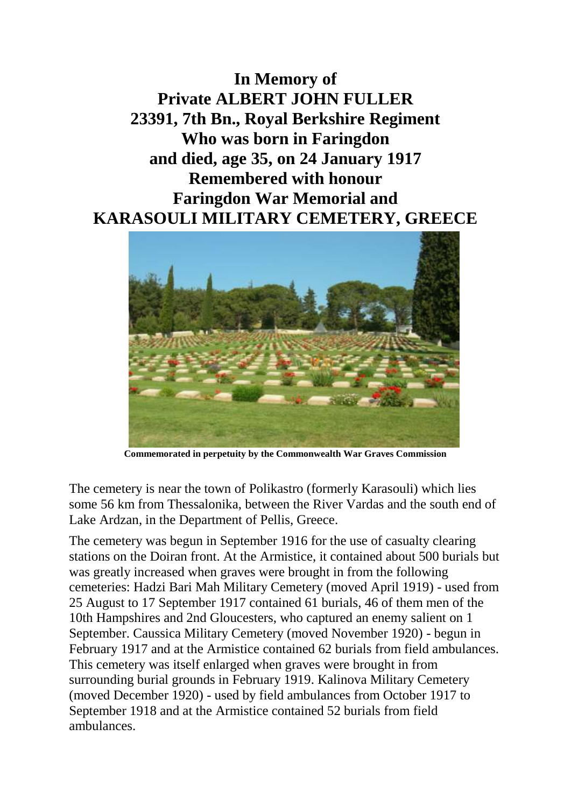**In Memory of Private ALBERT JOHN FULLER 23391, 7th Bn., Royal Berkshire Regiment Who was born in Faringdon and died, age 35, on 24 January 1917 Remembered with honour Faringdon War Memorial and KARASOULI MILITARY CEMETERY, GREECE**



**Commemorated in perpetuity by the Commonwealth War Graves Commission**

The cemetery is near the town of Polikastro (formerly Karasouli) which lies some 56 km from Thessalonika, between the River Vardas and the south end of Lake Ardzan, in the Department of Pellis, Greece.

The cemetery was begun in September 1916 for the use of casualty clearing stations on the Doiran front. At the Armistice, it contained about 500 burials but was greatly increased when graves were brought in from the following cemeteries: Hadzi Bari Mah Military Cemetery (moved April 1919) - used from 25 August to 17 September 1917 contained 61 burials, 46 of them men of the 10th Hampshires and 2nd Gloucesters, who captured an enemy salient on 1 September. Caussica Military Cemetery (moved November 1920) - begun in February 1917 and at the Armistice contained 62 burials from field ambulances. This cemetery was itself enlarged when graves were brought in from surrounding burial grounds in February 1919. Kalinova Military Cemetery (moved December 1920) - used by field ambulances from October 1917 to September 1918 and at the Armistice contained 52 burials from field ambulances.